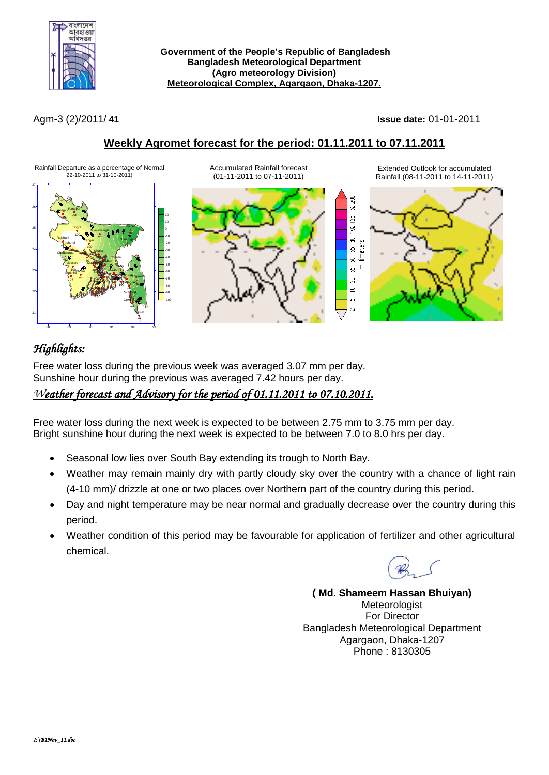

**Government of the People's Republic of Bangladesh Bangladesh Meteorological Department (Agro meteorology Division) Meteorological Complex, Agargaon, Dhaka-1207.**

Agm-3 (2)/2011/ **41 Issue date:** 01-01-2011

Extended Outlook for accumulated Rainfall (08-11-2011 to 14-11-2011)

## **Weekly Agromet forecast for the period: 01.11.2011 to 07.11.2011**

Rainfall Departure as a percentage of Normal 22-10-2011 to 31-10-2011)



Accumulated Rainfall forecast (01-11-2011 to 07-11-2011)



# *Highlights:*

Free water loss during the previous week was averaged 3.07 mm per day. Sunshine hour during the previous was averaged 7.42 hours per day.

### *Weather forecast and Advisory for the period of 01.11.2011 to 07.10.2011.*

Free water loss during the next week is expected to be between 2.75 mm to 3.75 mm per day. Bright sunshine hour during the next week is expected to be between 7.0 to 8.0 hrs per day.

- Seasonal low lies over South Bay extending its trough to North Bay.
- Weather may remain mainly dry with partly cloudy sky over the country with a chance of light rain (4-10 mm)/ drizzle at one or two places over Northern part of the country during this period.
- Day and night temperature may be near normal and gradually decrease over the country during this period.
- Weather condition of this period may be favourable for application of fertilizer and other agricultural chemical.

**( Md. Shameem Hassan Bhuiyan) Meteorologist** For Director Bangladesh Meteorological Department Agargaon, Dhaka-1207 Phone : 8130305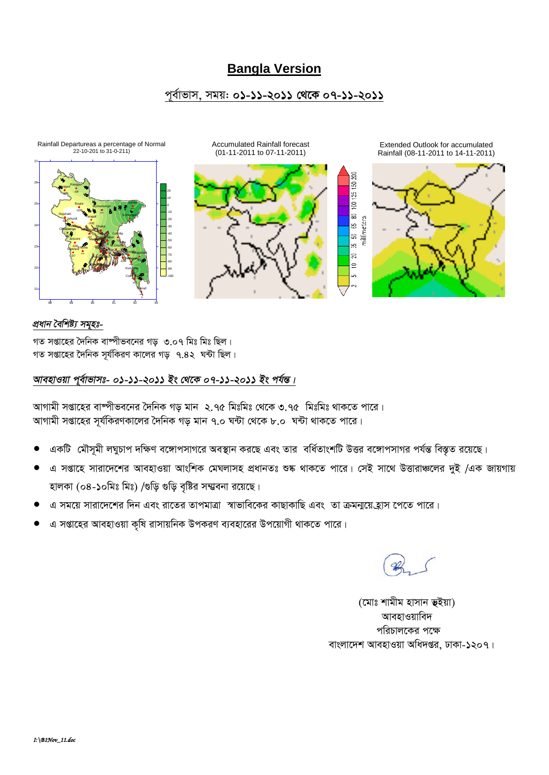# **Bangla Version**

### পূর্বাভাস, সময়: ০১-১১-২০১১ থেকে ০৭-১১-২০১১



### প্ৰধান বৈশিষ্ট্য সমূহঃ-

গত সপ্তাহের দৈনিক বাষ্পীভবনের গড় ৩.০৭ মিঃ মিঃ ছিল। গত সপ্তাহের দৈনিক সূর্যকিরণ কালের গড় ৭.৪২ ঘন্টা ছিল।

### আবহাওয়া পূর্বাভাসঃ- ০১-১১-২০১১ ইং থেকে ০৭-১১-২০১১ ইং পর্যন্ত।

আগামী সপ্তাহের বাম্পীভবনের দৈনিক গড় মান ২.৭৫ মিঃমিঃ থেকে ৩.৭৫ মিঃমিঃ থাকতে পারে। আগামী সপ্তাহের সূর্যকিরণকালের দৈনিক গড় মান ৭.০ ঘন্টা থেকে ৮.০ ঘন্টা থাকতে পারে।

- একটি মৌসূমী লঘুচাপ দক্ষিণ বঙ্গোপসাগরে অবস্থান করছে এবং তার বর্ধিতাংশটি উত্তর বঙ্গোপসাগর পর্যন্ত বিস্তৃত রয়েছে।
- এ সপ্তাহে সারাদেশের আবহাওয়া আংশিক মেঘলাসহ প্রধানতঃ শুষ্ক থাকতে পারে। সেই সাথে উত্তারাঞ্চলের দুই /এক জায়গায় হালকা (০৪-১০মিঃ মিঃ) /গুড়ি গুড়ি বৃষ্টির সম্ম্ববনা রয়েছে।
- এ সময়ে সারাদেশের দিন এবং রাতের তাপমাত্রা স্বাভাবিকের কাছাকাছি এবং তা ক্রমন্ময়েহ্রাস পেতে পারে।
- এ সপ্তাহের আবহাওয়া কৃষি রাসায়নিক উপকরণ ব্যবহারের উপয়োগী থাকতে পারে।

(মোঃ শামীম হাসান ভূইয়া) আবহাওয়াবিদ পরিচালকের পক্ষে বাংলাদেশ আবহাওয়া অধিদপ্তর, ঢাকা-১২০৭।